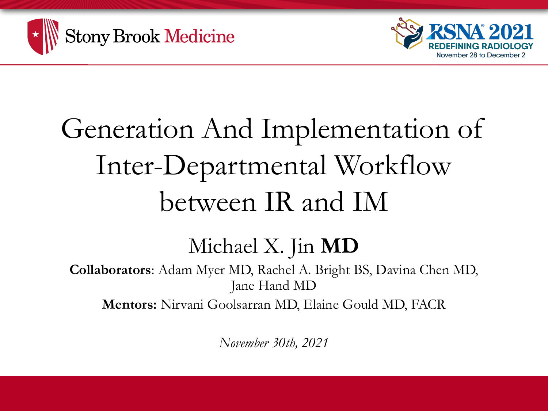



## Generation And Implementation of Inter-Departmental Workflow between IR and IM

#### Michael X. Jin **MD**

**Collaborators**: Adam Myer MD, Rachel A. Bright BS, Davina Chen MD, Jane Hand MD

**Mentors:** Nirvani Goolsarran MD, Elaine Gould MD, FACR

*November 30th, 2021*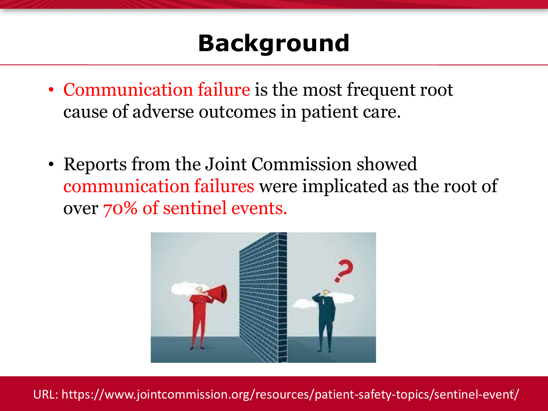### **Background**

- Communication failure is the most frequent root cause of adverse outcomes in patient care.
- Reports from the Joint Commission showed communication failures were implicated as the root of over 70% of sentinel events.



URL: https://www.jointcommission.org/resources/patient-safety-topics/sentinel-event/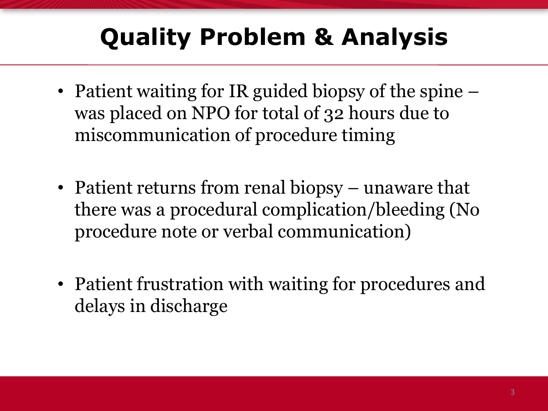## **Quality Problem & Analysis**

- Patient waiting for IR guided biopsy of the spine was placed on NPO for total of 32 hours due to miscommunication of procedure timing
- Patient returns from renal biopsy unaware that there was a procedural complication/bleeding (No procedure note or verbal communication)
- Patient frustration with waiting for procedures and delays in discharge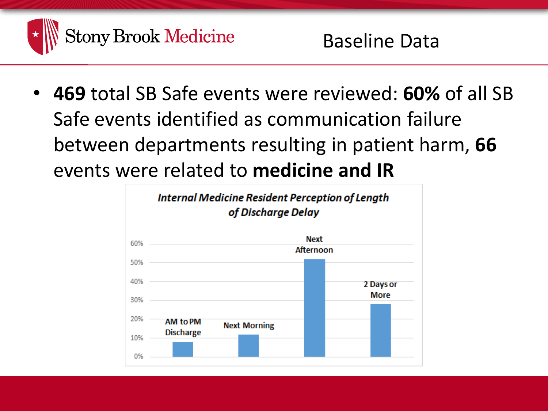

• **469** total SB Safe events were reviewed: **60%** of all SB Safe events identified as communication failure between departments resulting in patient harm, **66** events were related to **medicine and IR**

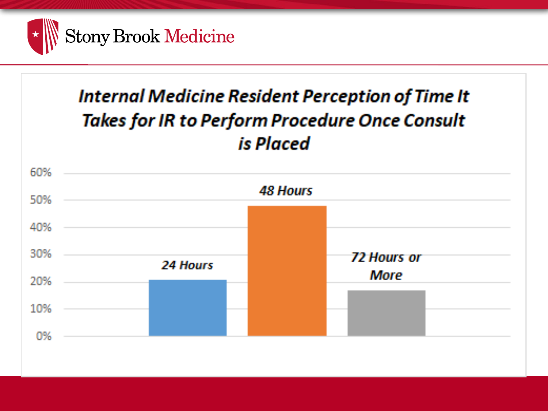

#### **Internal Medicine Resident Perception of Time It Takes for IR to Perform Procedure Once Consult** is Placed

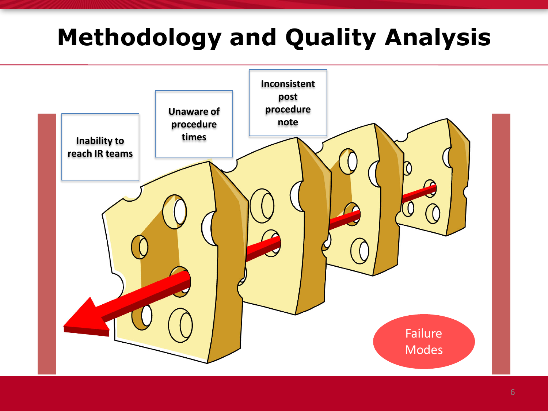## **Methodology and Quality Analysis**

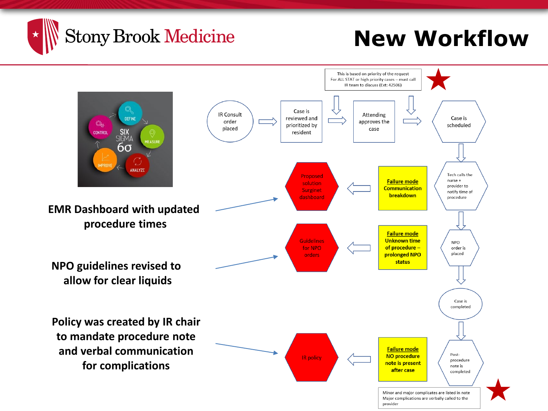

#### **New Workflow**

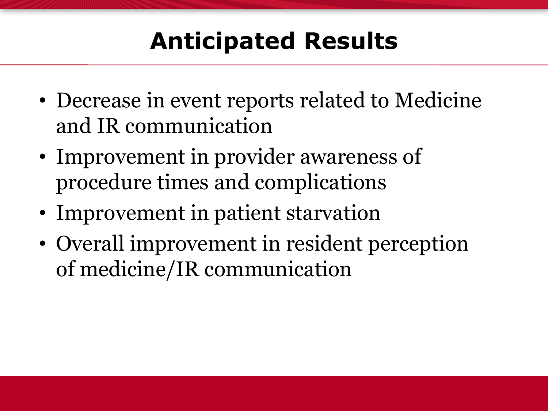### **Anticipated Results**

- Decrease in event reports related to Medicine and IR communication
- Improvement in provider awareness of procedure times and complications
- Improvement in patient starvation
- Overall improvement in resident perception of medicine/IR communication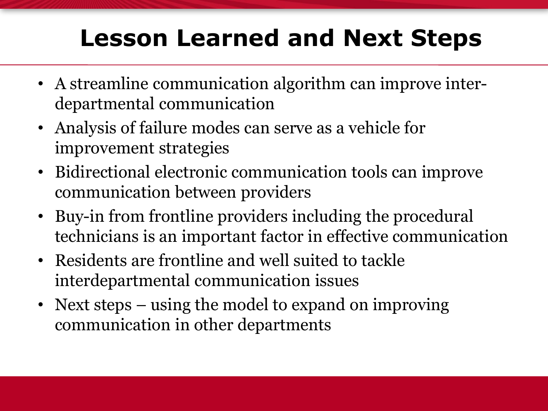## **Lesson Learned and Next Steps**

- A streamline communication algorithm can improve interdepartmental communication
- Analysis of failure modes can serve as a vehicle for improvement strategies
- Bidirectional electronic communication tools can improve communication between providers
- Buy-in from frontline providers including the procedural technicians is an important factor in effective communication
- Residents are frontline and well suited to tackle interdepartmental communication issues
- Next steps using the model to expand on improving communication in other departments